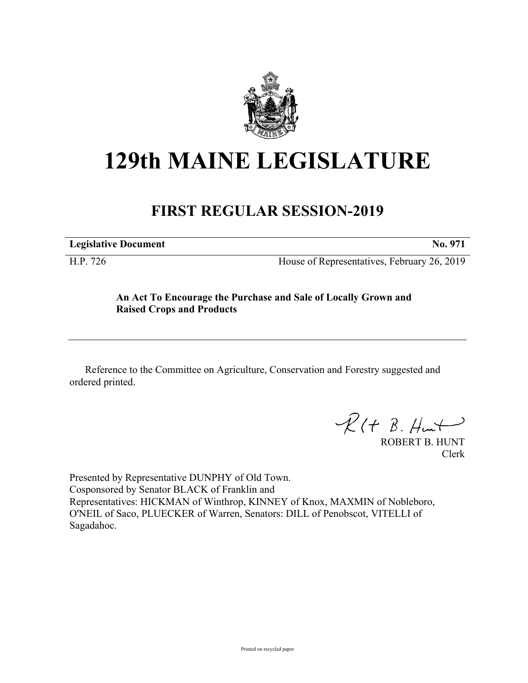

## **129th MAINE LEGISLATURE**

## **FIRST REGULAR SESSION-2019**

**Legislative Document No. 971**

H.P. 726 House of Representatives, February 26, 2019

## **An Act To Encourage the Purchase and Sale of Locally Grown and Raised Crops and Products**

Reference to the Committee on Agriculture, Conservation and Forestry suggested and ordered printed.

 $\mathcal{R}(t \; \mathcal{B}, \mathcal{H}_{\mathsf{int}})$ 

ROBERT B. HUNT Clerk

Presented by Representative DUNPHY of Old Town. Cosponsored by Senator BLACK of Franklin and Representatives: HICKMAN of Winthrop, KINNEY of Knox, MAXMIN of Nobleboro, O'NEIL of Saco, PLUECKER of Warren, Senators: DILL of Penobscot, VITELLI of Sagadahoc.